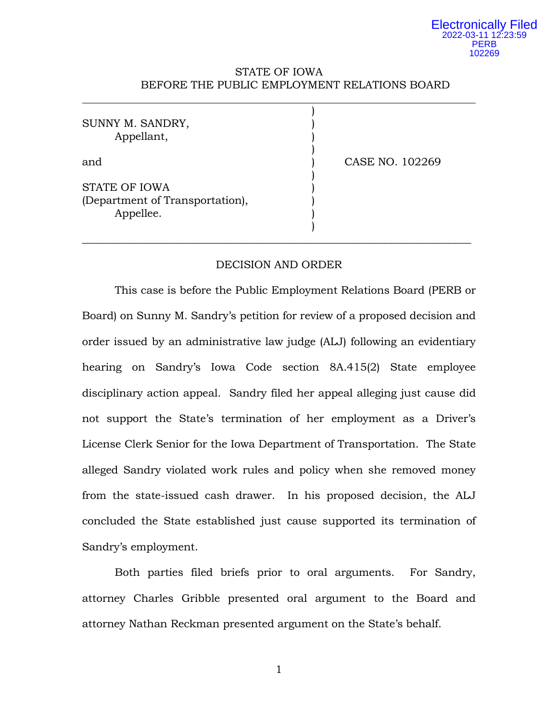# STATE OF IOWA BEFORE THE PUBLIC EMPLOYMENT RELATIONS BOARD

| SUNNY M. SANDRY,<br>Appellant,               |                 |
|----------------------------------------------|-----------------|
| and<br><b>STATE OF IOWA</b>                  | CASE NO. 102269 |
| (Department of Transportation),<br>Appellee. |                 |

## DECISION AND ORDER

This case is before the Public Employment Relations Board (PERB or Board) on Sunny M. Sandry's petition for review of a proposed decision and order issued by an administrative law judge (ALJ) following an evidentiary hearing on Sandry's Iowa Code section 8A.415(2) State employee disciplinary action appeal. Sandry filed her appeal alleging just cause did not support the State's termination of her employment as a Driver's License Clerk Senior for the Iowa Department of Transportation. The State alleged Sandry violated work rules and policy when she removed money from the state-issued cash drawer. In his proposed decision, the ALJ concluded the State established just cause supported its termination of Sandry's employment.

Both parties filed briefs prior to oral arguments. For Sandry, attorney Charles Gribble presented oral argument to the Board and attorney Nathan Reckman presented argument on the State's behalf.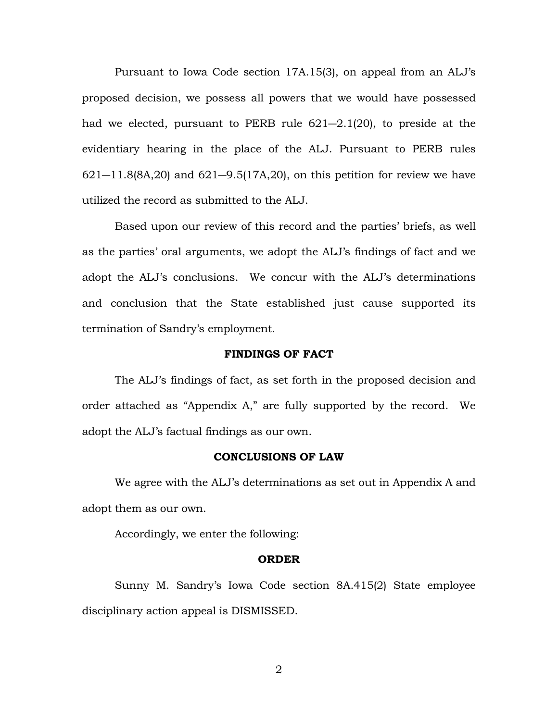Pursuant to Iowa Code section 17A.15(3), on appeal from an ALJ's proposed decision, we possess all powers that we would have possessed had we elected, pursuant to PERB rule 621―2.1(20), to preside at the evidentiary hearing in the place of the ALJ. Pursuant to PERB rules  $621 - 11.8(8A, 20)$  and  $621 - 9.5(17A, 20)$ , on this petition for review we have utilized the record as submitted to the ALJ.

Based upon our review of this record and the parties' briefs, as well as the parties' oral arguments, we adopt the ALJ's findings of fact and we adopt the ALJ's conclusions. We concur with the ALJ's determinations and conclusion that the State established just cause supported its termination of Sandry's employment.

#### **FINDINGS OF FACT**

The ALJ's findings of fact, as set forth in the proposed decision and order attached as "Appendix A," are fully supported by the record. We adopt the ALJ's factual findings as our own.

## **CONCLUSIONS OF LAW**

We agree with the ALJ's determinations as set out in Appendix A and adopt them as our own.

Accordingly, we enter the following:

#### **ORDER**

Sunny M. Sandry's Iowa Code section 8A.415(2) State employee disciplinary action appeal is DISMISSED.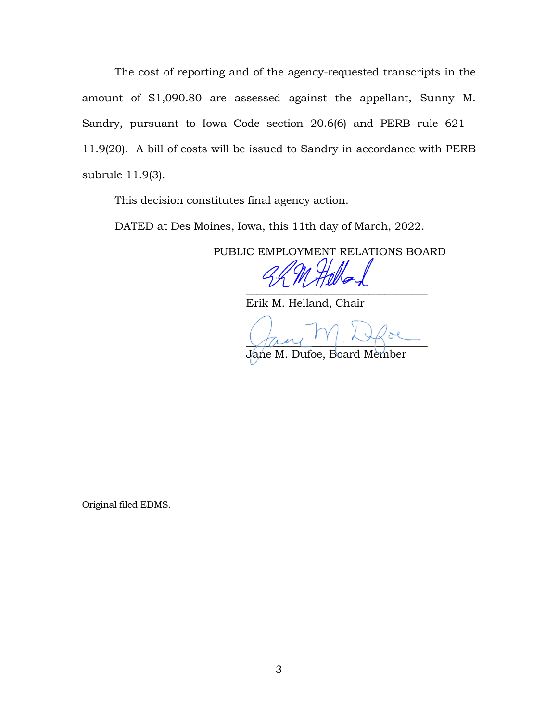The cost of reporting and of the agency-requested transcripts in the amount of \$1,090.80 are assessed against the appellant, Sunny M. Sandry, pursuant to Iowa Code section 20.6(6) and PERB rule 621— 11.9(20). A bill of costs will be issued to Sandry in accordance with PERB subrule 11.9(3).

This decision constitutes final agency action.

DATED at Des Moines, Iowa, this 11th day of March, 2022.

PUBLIC EMPLOYMENT RELATIONS BOARD

 $\overline{\phantom{a}}$ 

Erik M. Helland, Chair

 $\sqrt{a}$   $\sim$ 

Jane M. Dufoe, Board Member

Original filed EDMS.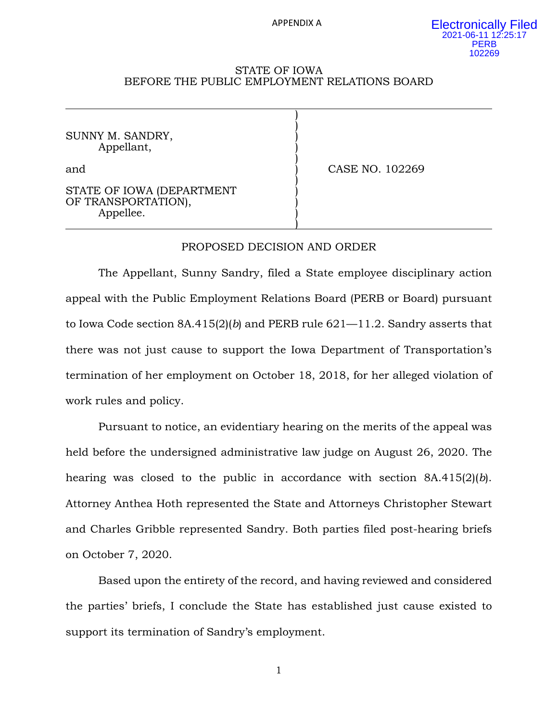APPENDIX A

) )

)

)

)

#### STATE OF IOWA BEFORE THE PUBLIC EMPLOYMENT RELATIONS BOARD

SUNNY M. SANDRY, Appellant, )

and **and CASE NO. 102269** 

STATE OF IOWA (DEPARTMENT OF TRANSPORTATION), Appellee. )

## PROPOSED DECISION AND ORDER

The Appellant, Sunny Sandry, filed a State employee disciplinary action appeal with the Public Employment Relations Board (PERB or Board) pursuant to Iowa Code section 8A.415(2)(*b*) and PERB rule 621—11.2. Sandry asserts that there was not just cause to support the Iowa Department of Transportation's termination of her employment on October 18, 2018, for her alleged violation of work rules and policy.

Pursuant to notice, an evidentiary hearing on the merits of the appeal was held before the undersigned administrative law judge on August 26, 2020. The hearing was closed to the public in accordance with section 8A.415(2)(*b*). Attorney Anthea Hoth represented the State and Attorneys Christopher Stewart and Charles Gribble represented Sandry. Both parties filed post-hearing briefs on October 7, 2020.

Based upon the entirety of the record, and having reviewed and considered the parties' briefs, I conclude the State has established just cause existed to support its termination of Sandry's employment.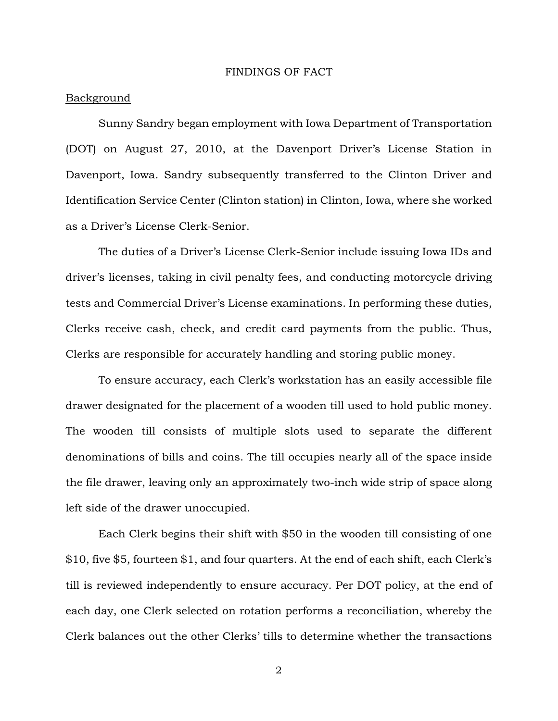#### FINDINGS OF FACT

#### Background

Sunny Sandry began employment with Iowa Department of Transportation (DOT) on August 27, 2010, at the Davenport Driver's License Station in Davenport, Iowa. Sandry subsequently transferred to the Clinton Driver and Identification Service Center (Clinton station) in Clinton, Iowa, where she worked as a Driver's License Clerk-Senior.

The duties of a Driver's License Clerk-Senior include issuing Iowa IDs and driver's licenses, taking in civil penalty fees, and conducting motorcycle driving tests and Commercial Driver's License examinations. In performing these duties, Clerks receive cash, check, and credit card payments from the public. Thus, Clerks are responsible for accurately handling and storing public money.

To ensure accuracy, each Clerk's workstation has an easily accessible file drawer designated for the placement of a wooden till used to hold public money. The wooden till consists of multiple slots used to separate the different denominations of bills and coins. The till occupies nearly all of the space inside the file drawer, leaving only an approximately two-inch wide strip of space along left side of the drawer unoccupied.

Each Clerk begins their shift with \$50 in the wooden till consisting of one \$10, five \$5, fourteen \$1, and four quarters. At the end of each shift, each Clerk's till is reviewed independently to ensure accuracy. Per DOT policy, at the end of each day, one Clerk selected on rotation performs a reconciliation, whereby the Clerk balances out the other Clerks' tills to determine whether the transactions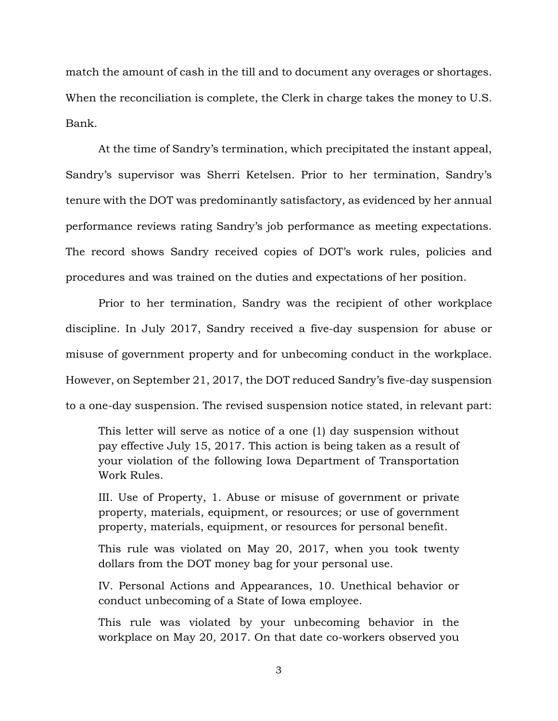match the amount of cash in the till and to document any overages or shortages. When the reconciliation is complete, the Clerk in charge takes the money to U.S. Bank.

At the time of Sandry's termination, which precipitated the instant appeal, Sandry's supervisor was Sherri Ketelsen. Prior to her termination, Sandry's tenure with the DOT was predominantly satisfactory, as evidenced by her annual performance reviews rating Sandry's job performance as meeting expectations. The record shows Sandry received copies of DOT's work rules, policies and procedures and was trained on the duties and expectations of her position.

Prior to her termination, Sandry was the recipient of other workplace discipline. In July 2017, Sandry received a five-day suspension for abuse or misuse of government property and for unbecoming conduct in the workplace. However, on September 21, 2017, the DOT reduced Sandry's five-day suspension to a one-day suspension. The revised suspension notice stated, in relevant part:

This letter will serve as notice of a one (1) day suspension without pay effective July 15, 2017. This action is being taken as a result of your violation of the following Iowa Department of Transportation Work Rules.

III. Use of Property, 1. Abuse or misuse of government or private property, materials, equipment, or resources; or use of government property, materials, equipment, or resources for personal benefit.

This rule was violated on May 20, 2017, when you took twenty dollars from the DOT money bag for your personal use.

IV. Personal Actions and Appearances, 10. Unethical behavior or conduct unbecoming of a State of Iowa employee.

This rule was violated by your unbecoming behavior in the workplace on May 20, 2017. On that date co-workers observed you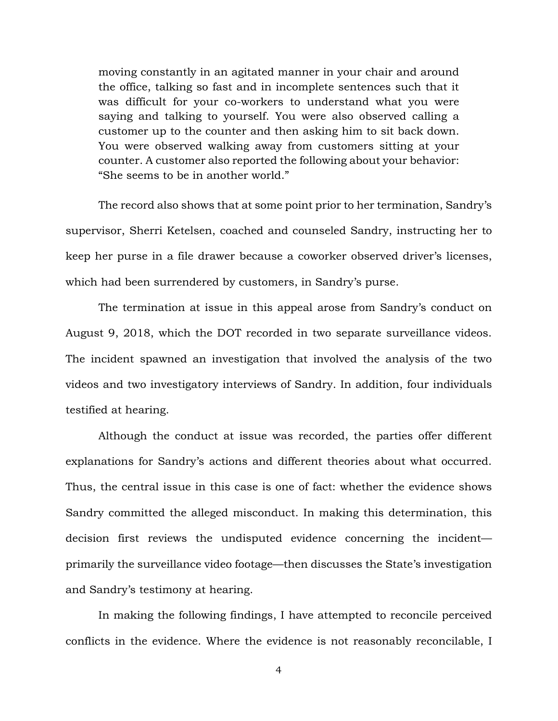moving constantly in an agitated manner in your chair and around the office, talking so fast and in incomplete sentences such that it was difficult for your co-workers to understand what you were saying and talking to yourself. You were also observed calling a customer up to the counter and then asking him to sit back down. You were observed walking away from customers sitting at your counter. A customer also reported the following about your behavior: "She seems to be in another world."

The record also shows that at some point prior to her termination, Sandry's supervisor, Sherri Ketelsen, coached and counseled Sandry, instructing her to keep her purse in a file drawer because a coworker observed driver's licenses, which had been surrendered by customers, in Sandry's purse.

The termination at issue in this appeal arose from Sandry's conduct on August 9, 2018, which the DOT recorded in two separate surveillance videos. The incident spawned an investigation that involved the analysis of the two videos and two investigatory interviews of Sandry. In addition, four individuals testified at hearing.

Although the conduct at issue was recorded, the parties offer different explanations for Sandry's actions and different theories about what occurred. Thus, the central issue in this case is one of fact: whether the evidence shows Sandry committed the alleged misconduct. In making this determination, this decision first reviews the undisputed evidence concerning the incident primarily the surveillance video footage—then discusses the State's investigation and Sandry's testimony at hearing.

In making the following findings, I have attempted to reconcile perceived conflicts in the evidence. Where the evidence is not reasonably reconcilable, I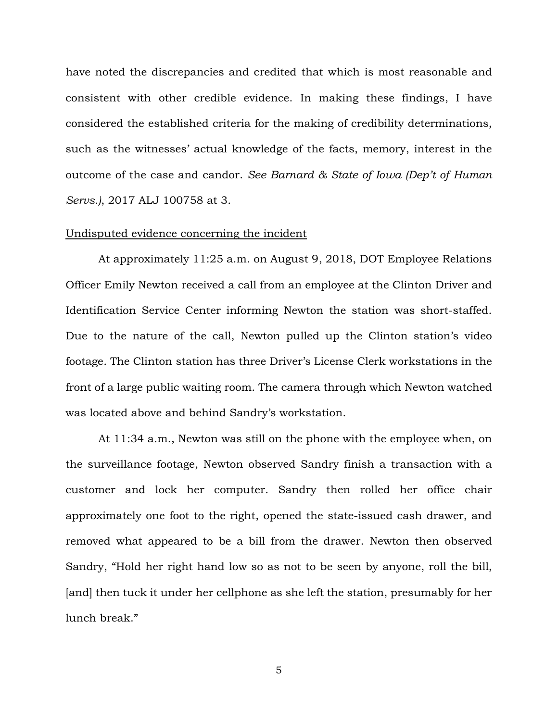have noted the discrepancies and credited that which is most reasonable and consistent with other credible evidence. In making these findings, I have considered the established criteria for the making of credibility determinations, such as the witnesses' actual knowledge of the facts, memory, interest in the outcome of the case and candor. *See Barnard & State of Iowa (Dep't of Human Servs.)*, 2017 ALJ 100758 at 3.

#### Undisputed evidence concerning the incident

At approximately 11:25 a.m. on August 9, 2018, DOT Employee Relations Officer Emily Newton received a call from an employee at the Clinton Driver and Identification Service Center informing Newton the station was short-staffed. Due to the nature of the call, Newton pulled up the Clinton station's video footage. The Clinton station has three Driver's License Clerk workstations in the front of a large public waiting room. The camera through which Newton watched was located above and behind Sandry's workstation.

At 11:34 a.m., Newton was still on the phone with the employee when, on the surveillance footage, Newton observed Sandry finish a transaction with a customer and lock her computer. Sandry then rolled her office chair approximately one foot to the right, opened the state-issued cash drawer, and removed what appeared to be a bill from the drawer. Newton then observed Sandry, "Hold her right hand low so as not to be seen by anyone, roll the bill, [and] then tuck it under her cellphone as she left the station, presumably for her lunch break."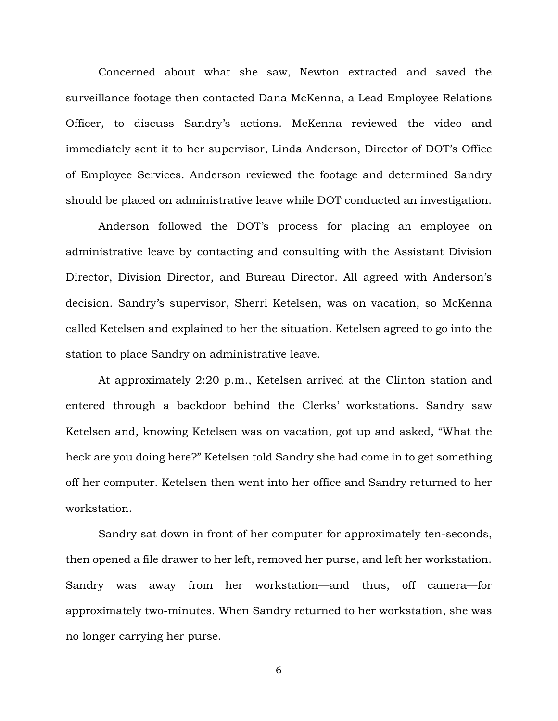Concerned about what she saw, Newton extracted and saved the surveillance footage then contacted Dana McKenna, a Lead Employee Relations Officer, to discuss Sandry's actions. McKenna reviewed the video and immediately sent it to her supervisor, Linda Anderson, Director of DOT's Office of Employee Services. Anderson reviewed the footage and determined Sandry should be placed on administrative leave while DOT conducted an investigation.

Anderson followed the DOT's process for placing an employee on administrative leave by contacting and consulting with the Assistant Division Director, Division Director, and Bureau Director. All agreed with Anderson's decision. Sandry's supervisor, Sherri Ketelsen, was on vacation, so McKenna called Ketelsen and explained to her the situation. Ketelsen agreed to go into the station to place Sandry on administrative leave.

At approximately 2:20 p.m., Ketelsen arrived at the Clinton station and entered through a backdoor behind the Clerks' workstations. Sandry saw Ketelsen and, knowing Ketelsen was on vacation, got up and asked, "What the heck are you doing here?" Ketelsen told Sandry she had come in to get something off her computer. Ketelsen then went into her office and Sandry returned to her workstation.

Sandry sat down in front of her computer for approximately ten-seconds, then opened a file drawer to her left, removed her purse, and left her workstation. Sandry was away from her workstation—and thus, off camera—for approximately two-minutes. When Sandry returned to her workstation, she was no longer carrying her purse.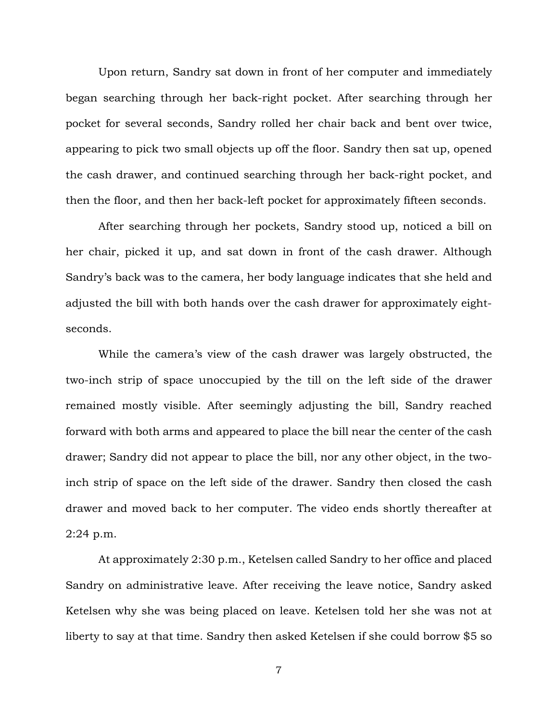Upon return, Sandry sat down in front of her computer and immediately began searching through her back-right pocket. After searching through her pocket for several seconds, Sandry rolled her chair back and bent over twice, appearing to pick two small objects up off the floor. Sandry then sat up, opened the cash drawer, and continued searching through her back-right pocket, and then the floor, and then her back-left pocket for approximately fifteen seconds.

After searching through her pockets, Sandry stood up, noticed a bill on her chair, picked it up, and sat down in front of the cash drawer. Although Sandry's back was to the camera, her body language indicates that she held and adjusted the bill with both hands over the cash drawer for approximately eightseconds.

While the camera's view of the cash drawer was largely obstructed, the two-inch strip of space unoccupied by the till on the left side of the drawer remained mostly visible. After seemingly adjusting the bill, Sandry reached forward with both arms and appeared to place the bill near the center of the cash drawer; Sandry did not appear to place the bill, nor any other object, in the twoinch strip of space on the left side of the drawer. Sandry then closed the cash drawer and moved back to her computer. The video ends shortly thereafter at 2:24 p.m.

At approximately 2:30 p.m., Ketelsen called Sandry to her office and placed Sandry on administrative leave. After receiving the leave notice, Sandry asked Ketelsen why she was being placed on leave. Ketelsen told her she was not at liberty to say at that time. Sandry then asked Ketelsen if she could borrow \$5 so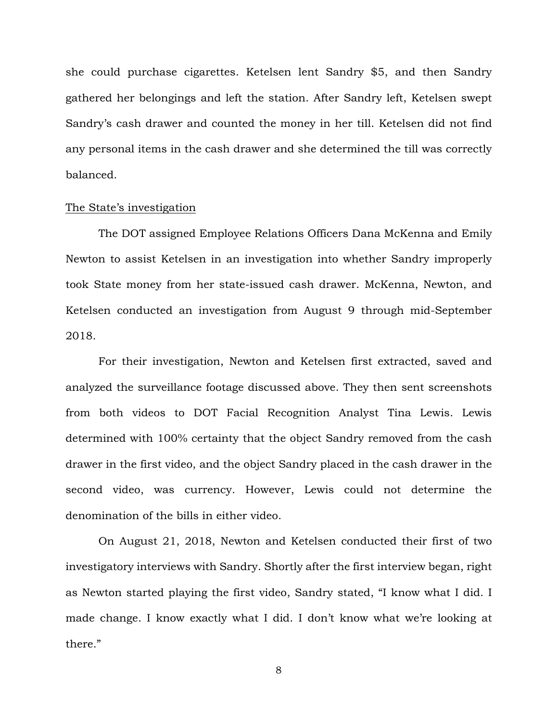she could purchase cigarettes. Ketelsen lent Sandry \$5, and then Sandry gathered her belongings and left the station. After Sandry left, Ketelsen swept Sandry's cash drawer and counted the money in her till. Ketelsen did not find any personal items in the cash drawer and she determined the till was correctly balanced.

#### The State's investigation

The DOT assigned Employee Relations Officers Dana McKenna and Emily Newton to assist Ketelsen in an investigation into whether Sandry improperly took State money from her state-issued cash drawer. McKenna, Newton, and Ketelsen conducted an investigation from August 9 through mid-September 2018.

For their investigation, Newton and Ketelsen first extracted, saved and analyzed the surveillance footage discussed above. They then sent screenshots from both videos to DOT Facial Recognition Analyst Tina Lewis. Lewis determined with 100% certainty that the object Sandry removed from the cash drawer in the first video, and the object Sandry placed in the cash drawer in the second video, was currency. However, Lewis could not determine the denomination of the bills in either video.

On August 21, 2018, Newton and Ketelsen conducted their first of two investigatory interviews with Sandry. Shortly after the first interview began, right as Newton started playing the first video, Sandry stated, "I know what I did. I made change. I know exactly what I did. I don't know what we're looking at there."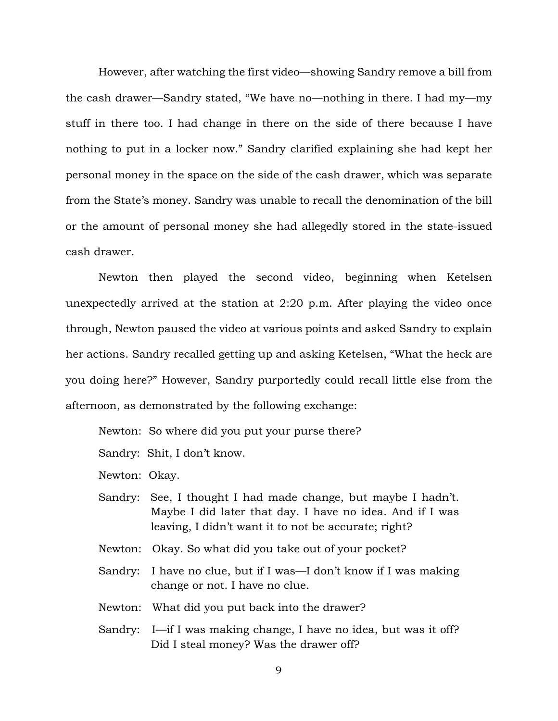However, after watching the first video—showing Sandry remove a bill from the cash drawer—Sandry stated, "We have no—nothing in there. I had my—my stuff in there too. I had change in there on the side of there because I have nothing to put in a locker now." Sandry clarified explaining she had kept her personal money in the space on the side of the cash drawer, which was separate from the State's money. Sandry was unable to recall the denomination of the bill or the amount of personal money she had allegedly stored in the state-issued cash drawer.

Newton then played the second video, beginning when Ketelsen unexpectedly arrived at the station at 2:20 p.m. After playing the video once through, Newton paused the video at various points and asked Sandry to explain her actions. Sandry recalled getting up and asking Ketelsen, "What the heck are you doing here?" However, Sandry purportedly could recall little else from the afternoon, as demonstrated by the following exchange:

Newton: So where did you put your purse there?

Sandry: Shit, I don't know.

Newton: Okay.

- Sandry: See, I thought I had made change, but maybe I hadn't. Maybe I did later that day. I have no idea. And if I was leaving, I didn't want it to not be accurate; right?
- Newton: Okay. So what did you take out of your pocket?
- Sandry: I have no clue, but if I was—I don't know if I was making change or not. I have no clue.
- Newton: What did you put back into the drawer?
- Sandry: I—if I was making change, I have no idea, but was it off? Did I steal money? Was the drawer off?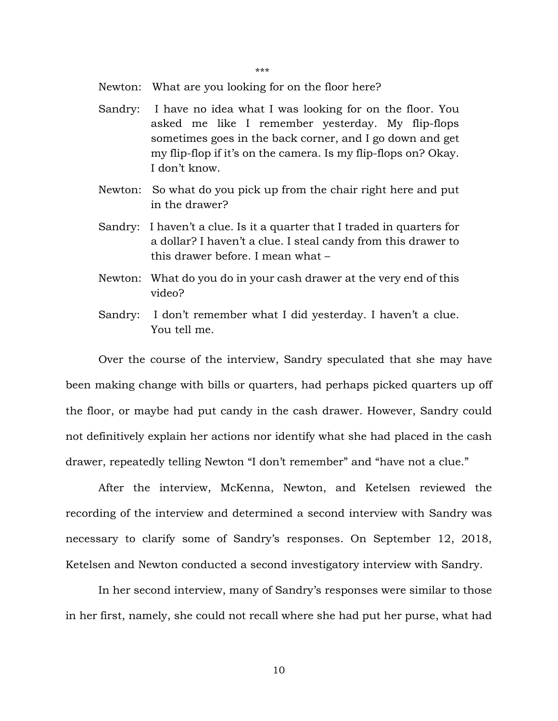\*\*\*

Newton: What are you looking for on the floor here?

- Sandry: I have no idea what I was looking for on the floor. You asked me like I remember yesterday. My flip-flops sometimes goes in the back corner, and I go down and get my flip-flop if it's on the camera. Is my flip-flops on? Okay. I don't know.
- Newton: So what do you pick up from the chair right here and put in the drawer?
- Sandry: I haven't a clue. Is it a quarter that I traded in quarters for a dollar? I haven't a clue. I steal candy from this drawer to this drawer before. I mean what –
- Newton: What do you do in your cash drawer at the very end of this video?
- Sandry: I don't remember what I did yesterday. I haven't a clue. You tell me.

Over the course of the interview, Sandry speculated that she may have been making change with bills or quarters, had perhaps picked quarters up off the floor, or maybe had put candy in the cash drawer. However, Sandry could not definitively explain her actions nor identify what she had placed in the cash drawer, repeatedly telling Newton "I don't remember" and "have not a clue."

After the interview, McKenna, Newton, and Ketelsen reviewed the recording of the interview and determined a second interview with Sandry was necessary to clarify some of Sandry's responses. On September 12, 2018, Ketelsen and Newton conducted a second investigatory interview with Sandry.

In her second interview, many of Sandry's responses were similar to those in her first, namely, she could not recall where she had put her purse, what had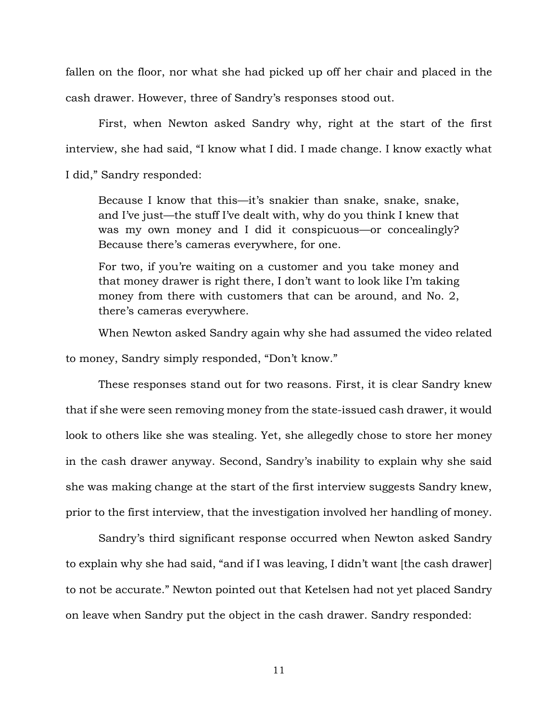fallen on the floor, nor what she had picked up off her chair and placed in the cash drawer. However, three of Sandry's responses stood out.

First, when Newton asked Sandry why, right at the start of the first interview, she had said, "I know what I did. I made change. I know exactly what I did," Sandry responded:

Because I know that this—it's snakier than snake, snake, snake, and I've just—the stuff I've dealt with, why do you think I knew that was my own money and I did it conspicuous—or concealingly? Because there's cameras everywhere, for one.

For two, if you're waiting on a customer and you take money and that money drawer is right there, I don't want to look like I'm taking money from there with customers that can be around, and No. 2, there's cameras everywhere.

When Newton asked Sandry again why she had assumed the video related

to money, Sandry simply responded, "Don't know."

These responses stand out for two reasons. First, it is clear Sandry knew that if she were seen removing money from the state-issued cash drawer, it would look to others like she was stealing. Yet, she allegedly chose to store her money in the cash drawer anyway. Second, Sandry's inability to explain why she said she was making change at the start of the first interview suggests Sandry knew, prior to the first interview, that the investigation involved her handling of money.

Sandry's third significant response occurred when Newton asked Sandry to explain why she had said, "and if I was leaving, I didn't want [the cash drawer] to not be accurate." Newton pointed out that Ketelsen had not yet placed Sandry on leave when Sandry put the object in the cash drawer. Sandry responded: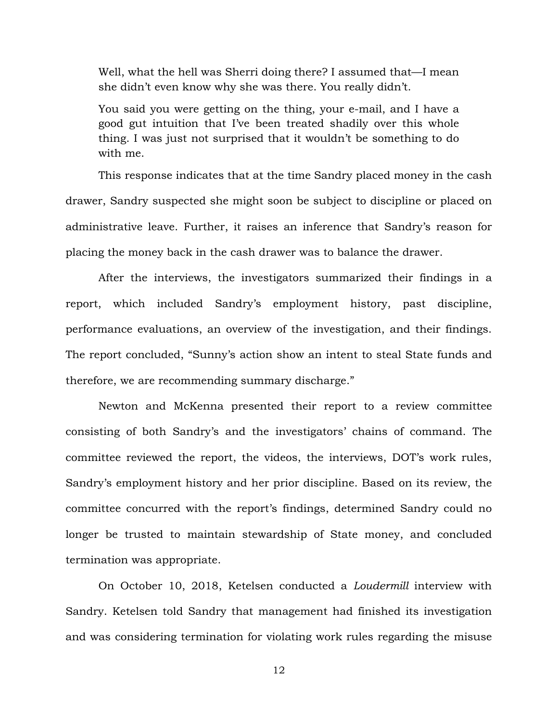Well, what the hell was Sherri doing there? I assumed that—I mean she didn't even know why she was there. You really didn't.

You said you were getting on the thing, your e-mail, and I have a good gut intuition that I've been treated shadily over this whole thing. I was just not surprised that it wouldn't be something to do with me.

This response indicates that at the time Sandry placed money in the cash drawer, Sandry suspected she might soon be subject to discipline or placed on administrative leave. Further, it raises an inference that Sandry's reason for placing the money back in the cash drawer was to balance the drawer.

After the interviews, the investigators summarized their findings in a report, which included Sandry's employment history, past discipline, performance evaluations, an overview of the investigation, and their findings. The report concluded, "Sunny's action show an intent to steal State funds and therefore, we are recommending summary discharge."

Newton and McKenna presented their report to a review committee consisting of both Sandry's and the investigators' chains of command. The committee reviewed the report, the videos, the interviews, DOT's work rules, Sandry's employment history and her prior discipline. Based on its review, the committee concurred with the report's findings, determined Sandry could no longer be trusted to maintain stewardship of State money, and concluded termination was appropriate.

On October 10, 2018, Ketelsen conducted a *Loudermill* interview with Sandry. Ketelsen told Sandry that management had finished its investigation and was considering termination for violating work rules regarding the misuse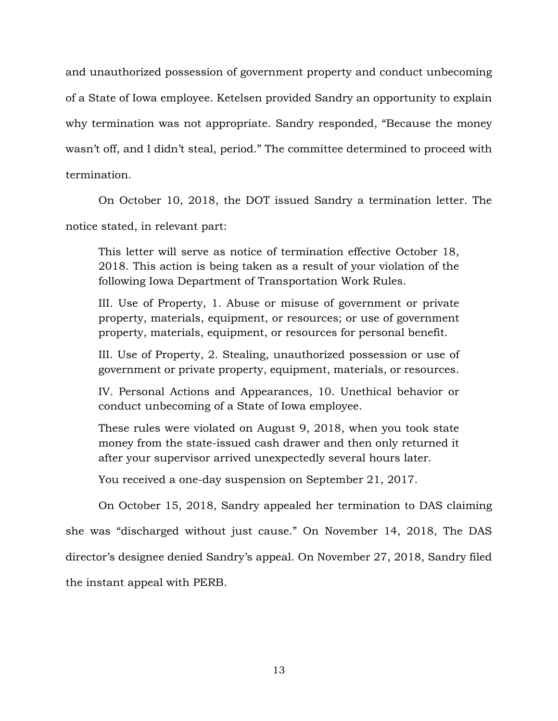and unauthorized possession of government property and conduct unbecoming of a State of Iowa employee. Ketelsen provided Sandry an opportunity to explain why termination was not appropriate. Sandry responded, "Because the money wasn't off, and I didn't steal, period." The committee determined to proceed with termination.

On October 10, 2018, the DOT issued Sandry a termination letter. The notice stated, in relevant part:

This letter will serve as notice of termination effective October 18, 2018. This action is being taken as a result of your violation of the following Iowa Department of Transportation Work Rules.

III. Use of Property, 1. Abuse or misuse of government or private property, materials, equipment, or resources; or use of government property, materials, equipment, or resources for personal benefit.

III. Use of Property, 2. Stealing, unauthorized possession or use of government or private property, equipment, materials, or resources.

IV. Personal Actions and Appearances, 10. Unethical behavior or conduct unbecoming of a State of Iowa employee.

These rules were violated on August 9, 2018, when you took state money from the state-issued cash drawer and then only returned it after your supervisor arrived unexpectedly several hours later.

You received a one-day suspension on September 21, 2017.

On October 15, 2018, Sandry appealed her termination to DAS claiming she was "discharged without just cause." On November 14, 2018, The DAS director's designee denied Sandry's appeal. On November 27, 2018, Sandry filed the instant appeal with PERB.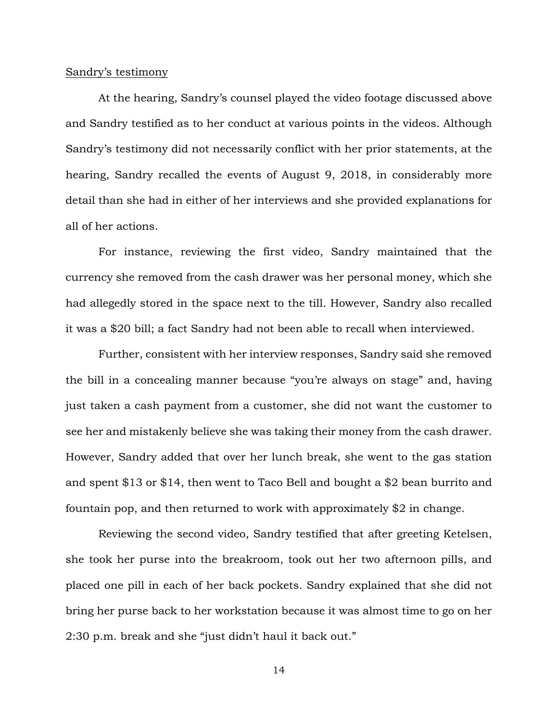#### Sandry's testimony

At the hearing, Sandry's counsel played the video footage discussed above and Sandry testified as to her conduct at various points in the videos. Although Sandry's testimony did not necessarily conflict with her prior statements, at the hearing, Sandry recalled the events of August 9, 2018, in considerably more detail than she had in either of her interviews and she provided explanations for all of her actions.

For instance, reviewing the first video, Sandry maintained that the currency she removed from the cash drawer was her personal money, which she had allegedly stored in the space next to the till. However, Sandry also recalled it was a \$20 bill; a fact Sandry had not been able to recall when interviewed.

Further, consistent with her interview responses, Sandry said she removed the bill in a concealing manner because "you're always on stage" and, having just taken a cash payment from a customer, she did not want the customer to see her and mistakenly believe she was taking their money from the cash drawer. However, Sandry added that over her lunch break, she went to the gas station and spent \$13 or \$14, then went to Taco Bell and bought a \$2 bean burrito and fountain pop, and then returned to work with approximately \$2 in change.

Reviewing the second video, Sandry testified that after greeting Ketelsen, she took her purse into the breakroom, took out her two afternoon pills, and placed one pill in each of her back pockets. Sandry explained that she did not bring her purse back to her workstation because it was almost time to go on her 2:30 p.m. break and she "just didn't haul it back out."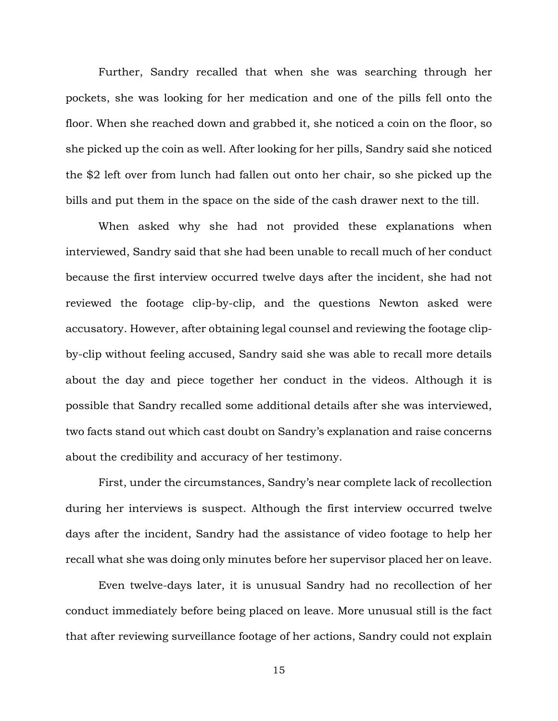Further, Sandry recalled that when she was searching through her pockets, she was looking for her medication and one of the pills fell onto the floor. When she reached down and grabbed it, she noticed a coin on the floor, so she picked up the coin as well. After looking for her pills, Sandry said she noticed the \$2 left over from lunch had fallen out onto her chair, so she picked up the bills and put them in the space on the side of the cash drawer next to the till.

When asked why she had not provided these explanations when interviewed, Sandry said that she had been unable to recall much of her conduct because the first interview occurred twelve days after the incident, she had not reviewed the footage clip-by-clip, and the questions Newton asked were accusatory. However, after obtaining legal counsel and reviewing the footage clipby-clip without feeling accused, Sandry said she was able to recall more details about the day and piece together her conduct in the videos. Although it is possible that Sandry recalled some additional details after she was interviewed, two facts stand out which cast doubt on Sandry's explanation and raise concerns about the credibility and accuracy of her testimony.

First, under the circumstances, Sandry's near complete lack of recollection during her interviews is suspect. Although the first interview occurred twelve days after the incident, Sandry had the assistance of video footage to help her recall what she was doing only minutes before her supervisor placed her on leave.

Even twelve-days later, it is unusual Sandry had no recollection of her conduct immediately before being placed on leave. More unusual still is the fact that after reviewing surveillance footage of her actions, Sandry could not explain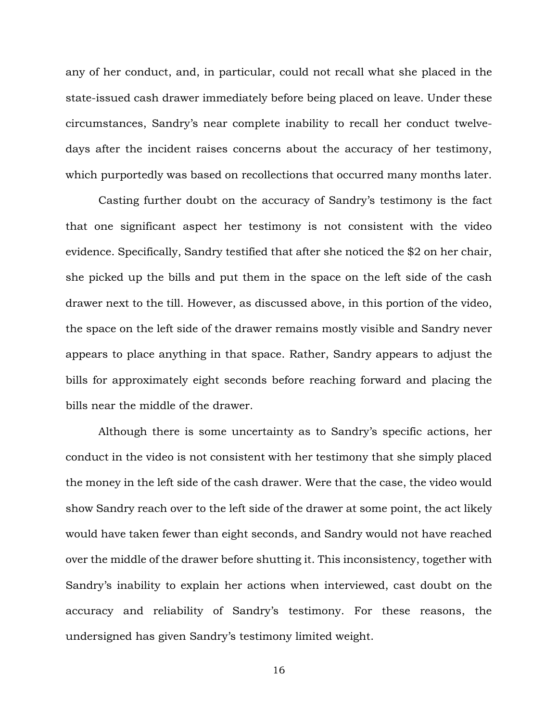any of her conduct, and, in particular, could not recall what she placed in the state-issued cash drawer immediately before being placed on leave. Under these circumstances, Sandry's near complete inability to recall her conduct twelvedays after the incident raises concerns about the accuracy of her testimony, which purportedly was based on recollections that occurred many months later.

Casting further doubt on the accuracy of Sandry's testimony is the fact that one significant aspect her testimony is not consistent with the video evidence. Specifically, Sandry testified that after she noticed the \$2 on her chair, she picked up the bills and put them in the space on the left side of the cash drawer next to the till. However, as discussed above, in this portion of the video, the space on the left side of the drawer remains mostly visible and Sandry never appears to place anything in that space. Rather, Sandry appears to adjust the bills for approximately eight seconds before reaching forward and placing the bills near the middle of the drawer.

Although there is some uncertainty as to Sandry's specific actions, her conduct in the video is not consistent with her testimony that she simply placed the money in the left side of the cash drawer. Were that the case, the video would show Sandry reach over to the left side of the drawer at some point, the act likely would have taken fewer than eight seconds, and Sandry would not have reached over the middle of the drawer before shutting it. This inconsistency, together with Sandry's inability to explain her actions when interviewed, cast doubt on the accuracy and reliability of Sandry's testimony. For these reasons, the undersigned has given Sandry's testimony limited weight.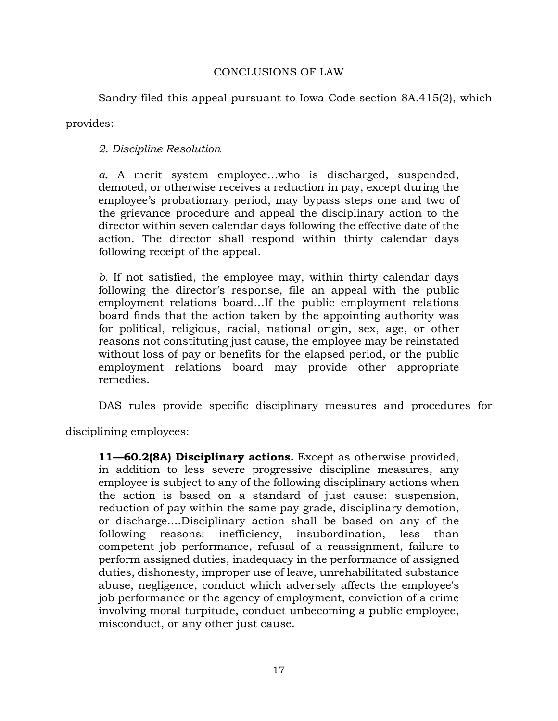# CONCLUSIONS OF LAW

Sandry filed this appeal pursuant to Iowa Code section 8A.415(2), which

provides:

*2. Discipline Resolution*

*a.* A merit system employee…who is discharged, suspended, demoted, or otherwise receives a reduction in pay, except during the employee's probationary period, may bypass steps one and two of the grievance procedure and appeal the disciplinary action to the director within seven calendar days following the effective date of the action. The director shall respond within thirty calendar days following receipt of the appeal.

*b.* If not satisfied, the employee may, within thirty calendar days following the director's response, file an appeal with the public employment relations board…If the public employment relations board finds that the action taken by the appointing authority was for political, religious, racial, national origin, sex, age, or other reasons not constituting just cause, the employee may be reinstated without loss of pay or benefits for the elapsed period, or the public employment relations board may provide other appropriate remedies.

DAS rules provide specific disciplinary measures and procedures for

disciplining employees:

**11—60.2(8A) Disciplinary actions.** Except as otherwise provided, in addition to less severe progressive discipline measures, any employee is subject to any of the following disciplinary actions when the action is based on a standard of just cause: suspension, reduction of pay within the same pay grade, disciplinary demotion, or discharge....Disciplinary action shall be based on any of the following reasons: inefficiency, insubordination, less than competent job performance, refusal of a reassignment, failure to perform assigned duties, inadequacy in the performance of assigned duties, dishonesty, improper use of leave, unrehabilitated substance abuse, negligence, conduct which adversely affects the employee's job performance or the agency of employment, conviction of a crime involving moral turpitude, conduct unbecoming a public employee, misconduct, or any other just cause.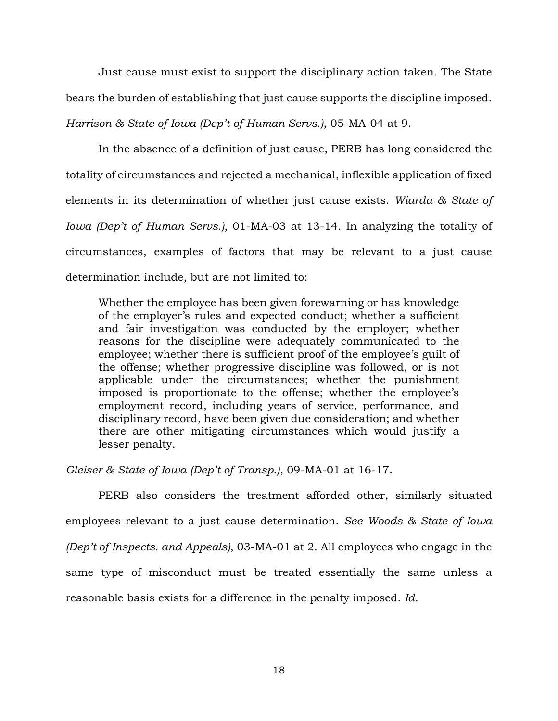Just cause must exist to support the disciplinary action taken. The State bears the burden of establishing that just cause supports the discipline imposed. *Harrison & State of Iowa (Dep't of Human Servs.)*, 05-MA-04 at 9.

In the absence of a definition of just cause, PERB has long considered the totality of circumstances and rejected a mechanical, inflexible application of fixed elements in its determination of whether just cause exists. *Wiarda & State of Iowa (Dep't of Human Servs.)*, 01-MA-03 at 13-14. In analyzing the totality of circumstances, examples of factors that may be relevant to a just cause determination include, but are not limited to:

Whether the employee has been given forewarning or has knowledge of the employer's rules and expected conduct; whether a sufficient and fair investigation was conducted by the employer; whether reasons for the discipline were adequately communicated to the employee; whether there is sufficient proof of the employee's guilt of the offense; whether progressive discipline was followed, or is not applicable under the circumstances; whether the punishment imposed is proportionate to the offense; whether the employee's employment record, including years of service, performance, and disciplinary record, have been given due consideration; and whether there are other mitigating circumstances which would justify a lesser penalty.

*Gleiser & State of Iowa (Dep't of Transp.)*, 09-MA-01 at 16-17.

PERB also considers the treatment afforded other, similarly situated employees relevant to a just cause determination. *See Woods & State of Iowa (Dep't of Inspects. and Appeals)*, 03-MA-01 at 2. All employees who engage in the same type of misconduct must be treated essentially the same unless a reasonable basis exists for a difference in the penalty imposed. *Id*.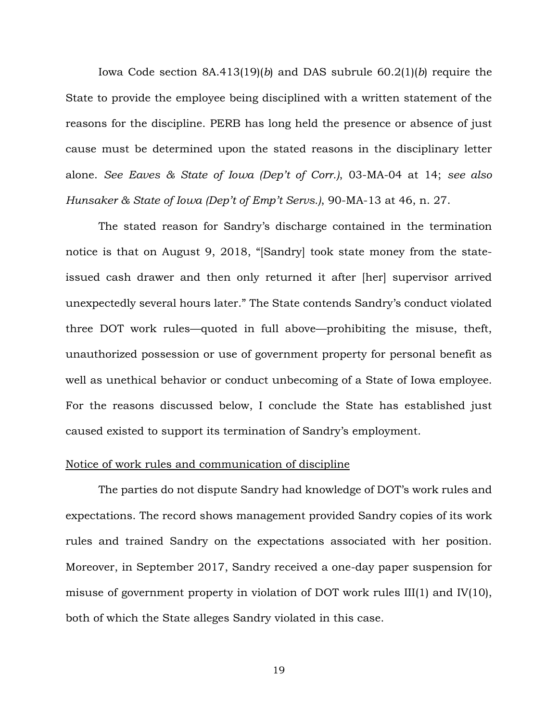Iowa Code section 8A.413(19)(*b*) and DAS subrule 60.2(1)(*b*) require the State to provide the employee being disciplined with a written statement of the reasons for the discipline. PERB has long held the presence or absence of just cause must be determined upon the stated reasons in the disciplinary letter alone. *See Eaves & State of Iowa (Dep't of Corr.)*, 03-MA-04 at 14; *see also Hunsaker & State of Iowa (Dep't of Emp't Servs.)*, 90-MA-13 at 46, n. 27.

The stated reason for Sandry's discharge contained in the termination notice is that on August 9, 2018, "[Sandry] took state money from the stateissued cash drawer and then only returned it after [her] supervisor arrived unexpectedly several hours later." The State contends Sandry's conduct violated three DOT work rules—quoted in full above—prohibiting the misuse, theft, unauthorized possession or use of government property for personal benefit as well as unethical behavior or conduct unbecoming of a State of Iowa employee. For the reasons discussed below, I conclude the State has established just caused existed to support its termination of Sandry's employment.

### Notice of work rules and communication of discipline

The parties do not dispute Sandry had knowledge of DOT's work rules and expectations. The record shows management provided Sandry copies of its work rules and trained Sandry on the expectations associated with her position. Moreover, in September 2017, Sandry received a one-day paper suspension for misuse of government property in violation of DOT work rules III(1) and IV(10), both of which the State alleges Sandry violated in this case.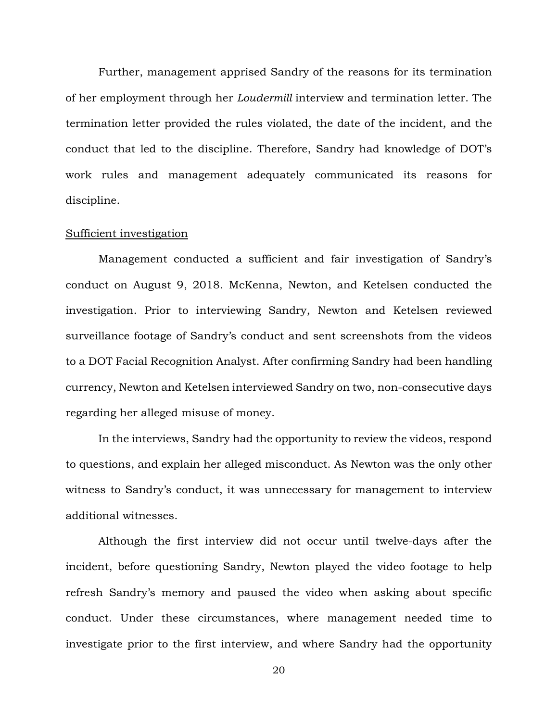Further, management apprised Sandry of the reasons for its termination of her employment through her *Loudermill* interview and termination letter. The termination letter provided the rules violated, the date of the incident, and the conduct that led to the discipline. Therefore, Sandry had knowledge of DOT's work rules and management adequately communicated its reasons for discipline.

#### Sufficient investigation

Management conducted a sufficient and fair investigation of Sandry's conduct on August 9, 2018. McKenna, Newton, and Ketelsen conducted the investigation. Prior to interviewing Sandry, Newton and Ketelsen reviewed surveillance footage of Sandry's conduct and sent screenshots from the videos to a DOT Facial Recognition Analyst. After confirming Sandry had been handling currency, Newton and Ketelsen interviewed Sandry on two, non-consecutive days regarding her alleged misuse of money.

In the interviews, Sandry had the opportunity to review the videos, respond to questions, and explain her alleged misconduct. As Newton was the only other witness to Sandry's conduct, it was unnecessary for management to interview additional witnesses.

Although the first interview did not occur until twelve-days after the incident, before questioning Sandry, Newton played the video footage to help refresh Sandry's memory and paused the video when asking about specific conduct. Under these circumstances, where management needed time to investigate prior to the first interview, and where Sandry had the opportunity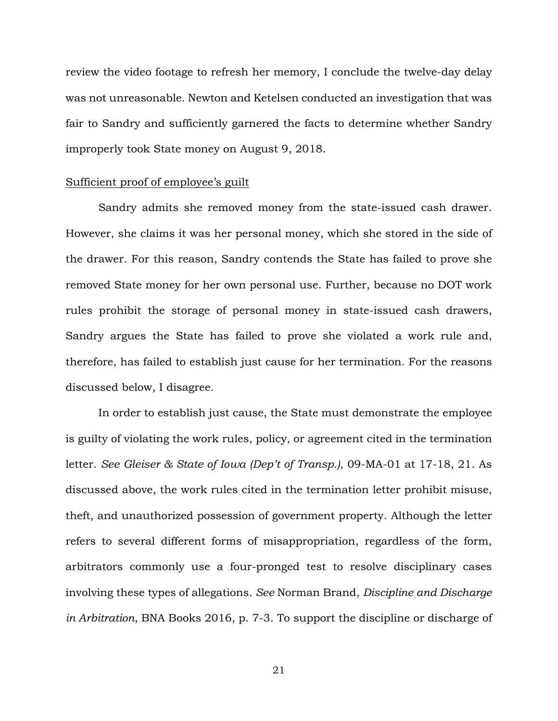review the video footage to refresh her memory, I conclude the twelve-day delay was not unreasonable. Newton and Ketelsen conducted an investigation that was fair to Sandry and sufficiently garnered the facts to determine whether Sandry improperly took State money on August 9, 2018.

#### Sufficient proof of employee's guilt

Sandry admits she removed money from the state-issued cash drawer. However, she claims it was her personal money, which she stored in the side of the drawer. For this reason, Sandry contends the State has failed to prove she removed State money for her own personal use. Further, because no DOT work rules prohibit the storage of personal money in state-issued cash drawers, Sandry argues the State has failed to prove she violated a work rule and, therefore, has failed to establish just cause for her termination. For the reasons discussed below, I disagree.

In order to establish just cause, the State must demonstrate the employee is guilty of violating the work rules, policy, or agreement cited in the termination letter. *See Gleiser & State of Iowa (Dep't of Transp.)*, 09-MA-01 at 17-18, 21. As discussed above, the work rules cited in the termination letter prohibit misuse, theft, and unauthorized possession of government property. Although the letter refers to several different forms of misappropriation, regardless of the form, arbitrators commonly use a four-pronged test to resolve disciplinary cases involving these types of allegations. *See* Norman Brand, *Discipline and Discharge in Arbitration*, BNA Books 2016, p. 7-3. To support the discipline or discharge of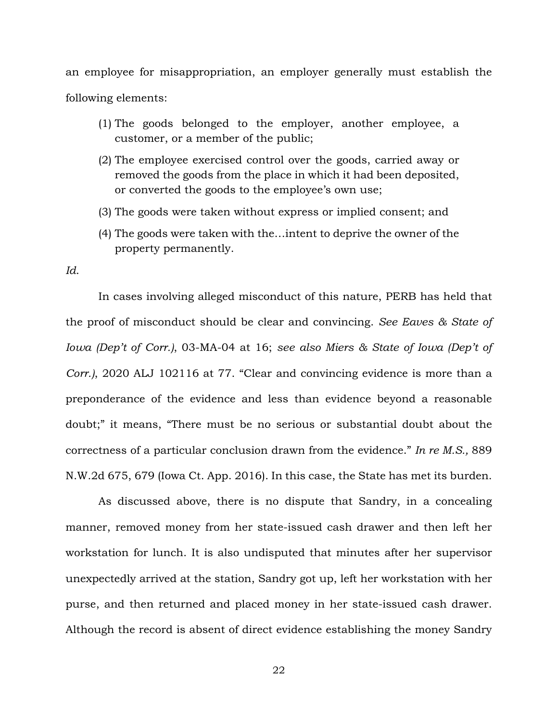an employee for misappropriation, an employer generally must establish the following elements:

- (1) The goods belonged to the employer, another employee, a customer, or a member of the public;
- (2) The employee exercised control over the goods, carried away or removed the goods from the place in which it had been deposited, or converted the goods to the employee's own use;
- (3) The goods were taken without express or implied consent; and
- (4) The goods were taken with the…intent to deprive the owner of the property permanently.

*Id*.

In cases involving alleged misconduct of this nature, PERB has held that the proof of misconduct should be clear and convincing. *See Eaves & State of Iowa (Dep't of Corr.)*, 03-MA-04 at 16; *see also Miers & State of Iowa (Dep't of Corr.)*, 2020 ALJ 102116 at 77. "Clear and convincing evidence is more than a preponderance of the evidence and less than evidence beyond a reasonable doubt;" it means, "There must be no serious or substantial doubt about the correctness of a particular conclusion drawn from the evidence." *In re M.S.,* 889 N.W.2d 675, 679 (Iowa Ct. App. 2016). In this case, the State has met its burden.

As discussed above, there is no dispute that Sandry, in a concealing manner, removed money from her state-issued cash drawer and then left her workstation for lunch. It is also undisputed that minutes after her supervisor unexpectedly arrived at the station, Sandry got up, left her workstation with her purse, and then returned and placed money in her state-issued cash drawer. Although the record is absent of direct evidence establishing the money Sandry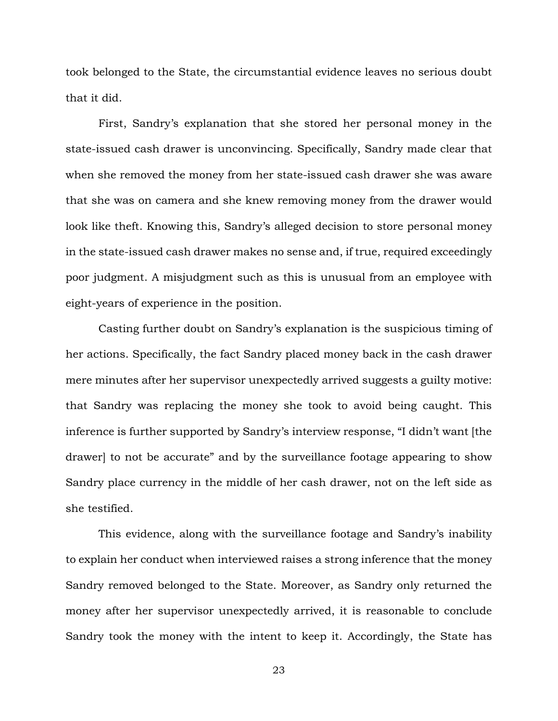took belonged to the State, the circumstantial evidence leaves no serious doubt that it did.

First, Sandry's explanation that she stored her personal money in the state-issued cash drawer is unconvincing. Specifically, Sandry made clear that when she removed the money from her state-issued cash drawer she was aware that she was on camera and she knew removing money from the drawer would look like theft. Knowing this, Sandry's alleged decision to store personal money in the state-issued cash drawer makes no sense and, if true, required exceedingly poor judgment. A misjudgment such as this is unusual from an employee with eight-years of experience in the position.

Casting further doubt on Sandry's explanation is the suspicious timing of her actions. Specifically, the fact Sandry placed money back in the cash drawer mere minutes after her supervisor unexpectedly arrived suggests a guilty motive: that Sandry was replacing the money she took to avoid being caught. This inference is further supported by Sandry's interview response, "I didn't want [the drawer] to not be accurate" and by the surveillance footage appearing to show Sandry place currency in the middle of her cash drawer, not on the left side as she testified.

This evidence, along with the surveillance footage and Sandry's inability to explain her conduct when interviewed raises a strong inference that the money Sandry removed belonged to the State. Moreover, as Sandry only returned the money after her supervisor unexpectedly arrived, it is reasonable to conclude Sandry took the money with the intent to keep it. Accordingly, the State has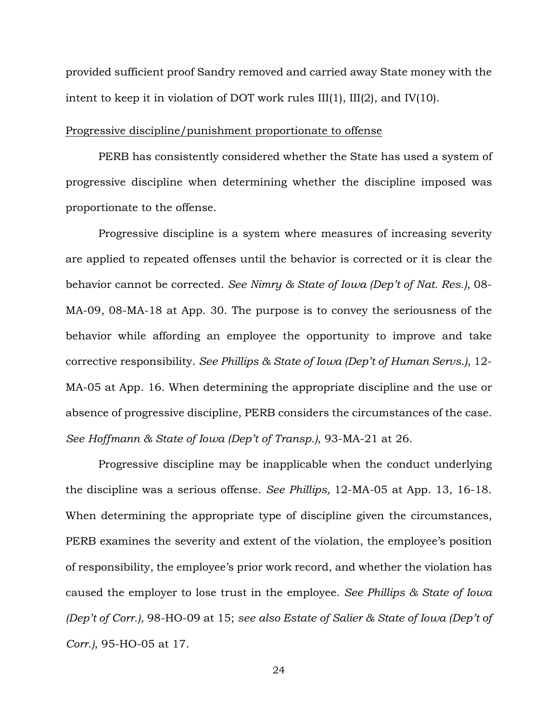provided sufficient proof Sandry removed and carried away State money with the intent to keep it in violation of DOT work rules III(1), III(2), and IV(10).

# Progressive discipline/punishment proportionate to offense

PERB has consistently considered whether the State has used a system of progressive discipline when determining whether the discipline imposed was proportionate to the offense.

Progressive discipline is a system where measures of increasing severity are applied to repeated offenses until the behavior is corrected or it is clear the behavior cannot be corrected. *See Nimry & State of Iowa (Dep't of Nat. Res.)*, 08- MA-09, 08-MA-18 at App. 30. The purpose is to convey the seriousness of the behavior while affording an employee the opportunity to improve and take corrective responsibility. *See Phillips & State of Iowa (Dep't of Human Servs.)*, 12- MA-05 at App. 16. When determining the appropriate discipline and the use or absence of progressive discipline, PERB considers the circumstances of the case. *See Hoffmann & State of Iowa (Dep't of Transp.)*, 93-MA-21 at 26.

Progressive discipline may be inapplicable when the conduct underlying the discipline was a serious offense. *See Phillips,* 12-MA-05 at App. 13, 16-18. When determining the appropriate type of discipline given the circumstances, PERB examines the severity and extent of the violation, the employee's position of responsibility, the employee's prior work record, and whether the violation has caused the employer to lose trust in the employee. *See Phillips & State of Iowa (Dep't of Corr.)*, 98-HO-09 at 15; *see also Estate of Salier & State of Iowa (Dep't of Corr.)*, 95-HO-05 at 17.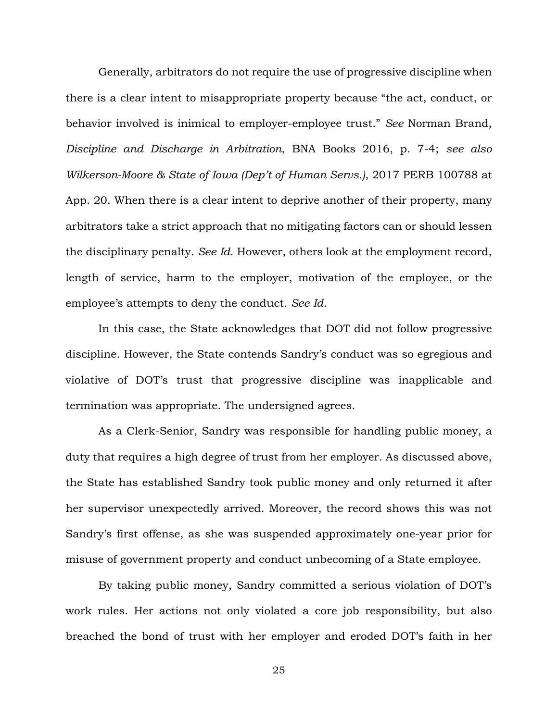Generally, arbitrators do not require the use of progressive discipline when there is a clear intent to misappropriate property because "the act, conduct, or behavior involved is inimical to employer-employee trust." *See* Norman Brand, *Discipline and Discharge in Arbitration*, BNA Books 2016, p. 7-4; *see also Wilkerson-Moore & State of Iowa (Dep't of Human Servs.)*, 2017 PERB 100788 at App. 20. When there is a clear intent to deprive another of their property, many arbitrators take a strict approach that no mitigating factors can or should lessen the disciplinary penalty. *See Id*. However, others look at the employment record, length of service, harm to the employer, motivation of the employee, or the employee's attempts to deny the conduct. *See Id*.

In this case, the State acknowledges that DOT did not follow progressive discipline. However, the State contends Sandry's conduct was so egregious and violative of DOT's trust that progressive discipline was inapplicable and termination was appropriate. The undersigned agrees.

As a Clerk-Senior, Sandry was responsible for handling public money, a duty that requires a high degree of trust from her employer. As discussed above, the State has established Sandry took public money and only returned it after her supervisor unexpectedly arrived. Moreover, the record shows this was not Sandry's first offense, as she was suspended approximately one-year prior for misuse of government property and conduct unbecoming of a State employee.

By taking public money, Sandry committed a serious violation of DOT's work rules. Her actions not only violated a core job responsibility, but also breached the bond of trust with her employer and eroded DOT's faith in her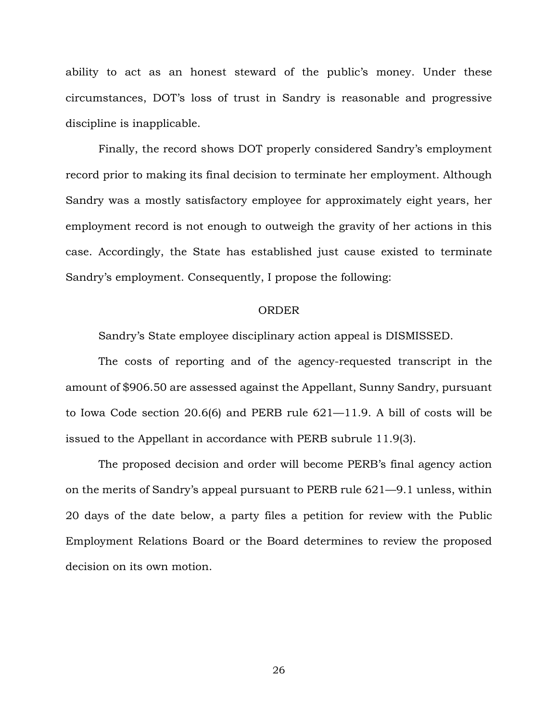ability to act as an honest steward of the public's money. Under these circumstances, DOT's loss of trust in Sandry is reasonable and progressive discipline is inapplicable.

Finally, the record shows DOT properly considered Sandry's employment record prior to making its final decision to terminate her employment. Although Sandry was a mostly satisfactory employee for approximately eight years, her employment record is not enough to outweigh the gravity of her actions in this case. Accordingly, the State has established just cause existed to terminate Sandry's employment. Consequently, I propose the following:

## ORDER

Sandry's State employee disciplinary action appeal is DISMISSED.

The costs of reporting and of the agency-requested transcript in the amount of \$906.50 are assessed against the Appellant, Sunny Sandry, pursuant to Iowa Code section 20.6(6) and PERB rule 621—11.9. A bill of costs will be issued to the Appellant in accordance with PERB subrule 11.9(3).

The proposed decision and order will become PERB's final agency action on the merits of Sandry's appeal pursuant to PERB rule 621—9.1 unless, within 20 days of the date below, a party files a petition for review with the Public Employment Relations Board or the Board determines to review the proposed decision on its own motion.